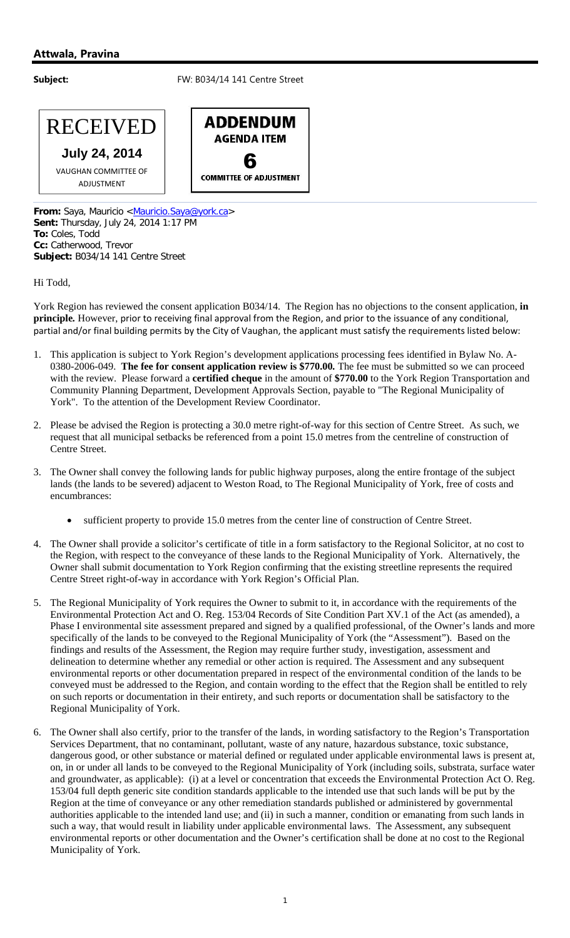## **Attwala, Pravina**

## **Subject:** FW: B034/14 141 Centre Street



VAUGHAN COMMITTEE OF ADJUSTMENT

**ADDENDUM AGENDA ITEM 6**<br>COMMITTEE OF ADJUSTMENT

From: Saya, Mauricio <Mauricio.Saya@york.ca> **Sent:** Thursday, July 24, 2014 1:17 PM **To:** Coles, Todd **Cc:** Catherwood, Trevor **Subject:** B034/14 141 Centre Street

Hi Todd,

York Region has reviewed the consent application B034/14. The Region has no objections to the consent application, **in principle***.* However, prior to receiving final approval from the Region, and prior to the issuance of any conditional, partial and/or final building permits by the City of Vaughan, the applicant must satisfy the requirements listed below:

- 1. This application is subject to York Region's development applications processing fees identified in Bylaw No. A-0380-2006-049. **The fee for consent application review is \$770.00***.* The fee must be submitted so we can proceed with the review. Please forward a **certified cheque** in the amount of **\$770.00** to the York Region Transportation and Community Planning Department, Development Approvals Section, payable to "The Regional Municipality of York". To the attention of the Development Review Coordinator.
- 2. Please be advised the Region is protecting a 30.0 metre right-of-way for this section of Centre Street. As such, we request that all municipal setbacks be referenced from a point 15.0 metres from the centreline of construction of Centre Street.
- 3. The Owner shall convey the following lands for public highway purposes, along the entire frontage of the subject lands (the lands to be severed) adjacent to Weston Road, to The Regional Municipality of York, free of costs and encumbrances:
	- sufficient property to provide 15.0 metres from the center line of construction of Centre Street.
- 4. The Owner shall provide a solicitor's certificate of title in a form satisfactory to the Regional Solicitor, at no cost to the Region, with respect to the conveyance of these lands to the Regional Municipality of York. Alternatively, the Owner shall submit documentation to York Region confirming that the existing streetline represents the required Centre Street right-of-way in accordance with York Region's Official Plan.
- 5. The Regional Municipality of York requires the Owner to submit to it, in accordance with the requirements of the Environmental Protection Act and O. Reg. 153/04 Records of Site Condition Part XV.1 of the Act (as amended), a Phase I environmental site assessment prepared and signed by a qualified professional, of the Owner's lands and more specifically of the lands to be conveyed to the Regional Municipality of York (the "Assessment"). Based on the findings and results of the Assessment, the Region may require further study, investigation, assessment and delineation to determine whether any remedial or other action is required. The Assessment and any subsequent environmental reports or other documentation prepared in respect of the environmental condition of the lands to be conveyed must be addressed to the Region, and contain wording to the effect that the Region shall be entitled to rely on such reports or documentation in their entirety, and such reports or documentation shall be satisfactory to the Regional Municipality of York.
- 6. The Owner shall also certify, prior to the transfer of the lands, in wording satisfactory to the Region's Transportation Services Department, that no contaminant, pollutant, waste of any nature, hazardous substance, toxic substance, dangerous good, or other substance or material defined or regulated under applicable environmental laws is present at, on, in or under all lands to be conveyed to the Regional Municipality of York (including soils, substrata, surface water and groundwater, as applicable): (i) at a level or concentration that exceeds the Environmental Protection Act O. Reg. 153/04 full depth generic site condition standards applicable to the intended use that such lands will be put by the Region at the time of conveyance or any other remediation standards published or administered by governmental authorities applicable to the intended land use; and (ii) in such a manner, condition or emanating from such lands in such a way, that would result in liability under applicable environmental laws. The Assessment, any subsequent environmental reports or other documentation and the Owner's certification shall be done at no cost to the Regional Municipality of York.